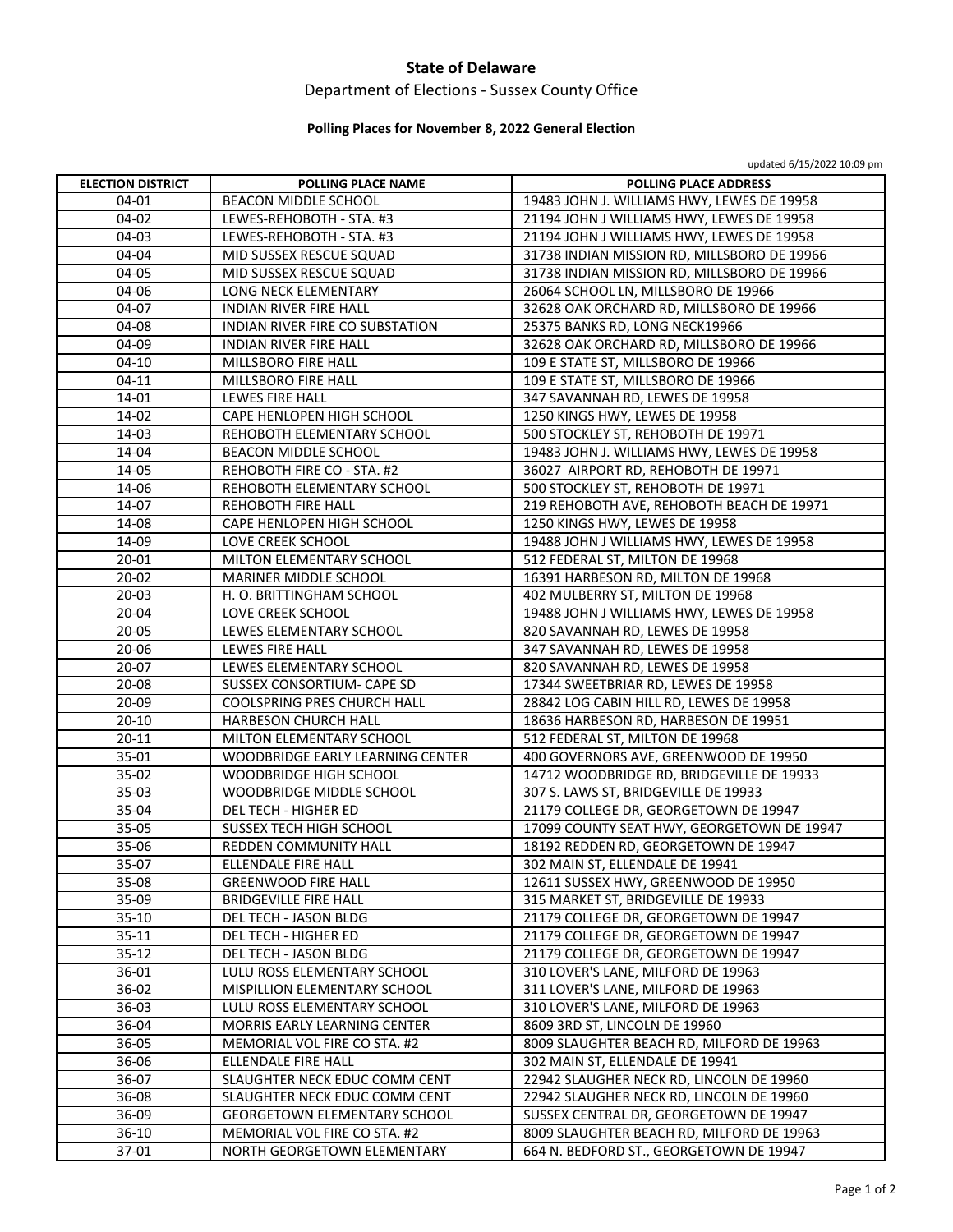### **State of Delaware**

# Department of Elections ‐ Sussex County Office

#### **Polling Places for November 8, 2022 General Election**

updated 6/15/2022 10:09 pm

| <b>ELECTION DISTRICT</b> | POLLING PLACE NAME                  | POLLING PLACE ADDRESS                       |
|--------------------------|-------------------------------------|---------------------------------------------|
| 04-01                    | <b>BEACON MIDDLE SCHOOL</b>         | 19483 JOHN J. WILLIAMS HWY, LEWES DE 19958  |
| 04-02                    | LEWES-REHOBOTH - STA. #3            | 21194 JOHN J WILLIAMS HWY, LEWES DE 19958   |
| 04-03                    | LEWES-REHOBOTH - STA. #3            | 21194 JOHN J WILLIAMS HWY, LEWES DE 19958   |
| 04-04                    | MID SUSSEX RESCUE SQUAD             | 31738 INDIAN MISSION RD, MILLSBORO DE 19966 |
| 04-05                    | MID SUSSEX RESCUE SQUAD             | 31738 INDIAN MISSION RD, MILLSBORO DE 19966 |
| 04-06                    | LONG NECK ELEMENTARY                | 26064 SCHOOL LN, MILLSBORO DE 19966         |
| 04-07                    | <b>INDIAN RIVER FIRE HALL</b>       | 32628 OAK ORCHARD RD, MILLSBORO DE 19966    |
| 04-08                    | INDIAN RIVER FIRE CO SUBSTATION     | 25375 BANKS RD, LONG NECK19966              |
| 04-09                    | <b>INDIAN RIVER FIRE HALL</b>       | 32628 OAK ORCHARD RD, MILLSBORO DE 19966    |
| $04-10$                  | MILLSBORO FIRE HALL                 | 109 E STATE ST, MILLSBORO DE 19966          |
| $04-11$                  | MILLSBORO FIRE HALL                 | 109 E STATE ST, MILLSBORO DE 19966          |
| 14-01                    | LEWES FIRE HALL                     | 347 SAVANNAH RD, LEWES DE 19958             |
| 14-02                    | CAPE HENLOPEN HIGH SCHOOL           | 1250 KINGS HWY, LEWES DE 19958              |
| 14-03                    | REHOBOTH ELEMENTARY SCHOOL          | 500 STOCKLEY ST, REHOBOTH DE 19971          |
| 14-04                    | <b>BEACON MIDDLE SCHOOL</b>         | 19483 JOHN J. WILLIAMS HWY, LEWES DE 19958  |
| 14-05                    | REHOBOTH FIRE CO - STA. #2          | 36027 AIRPORT RD, REHOBOTH DE 19971         |
| 14-06                    | REHOBOTH ELEMENTARY SCHOOL          | 500 STOCKLEY ST, REHOBOTH DE 19971          |
| 14-07                    | REHOBOTH FIRE HALL                  | 219 REHOBOTH AVE, REHOBOTH BEACH DE 19971   |
| 14-08                    | CAPE HENLOPEN HIGH SCHOOL           | 1250 KINGS HWY, LEWES DE 19958              |
| 14-09                    | <b>LOVE CREEK SCHOOL</b>            | 19488 JOHN J WILLIAMS HWY, LEWES DE 19958   |
| 20-01                    | MILTON ELEMENTARY SCHOOL            | 512 FEDERAL ST, MILTON DE 19968             |
| 20-02                    | MARINER MIDDLE SCHOOL               | 16391 HARBESON RD, MILTON DE 19968          |
| 20-03                    | H. O. BRITTINGHAM SCHOOL            | 402 MULBERRY ST, MILTON DE 19968            |
| 20-04                    | LOVE CREEK SCHOOL                   | 19488 JOHN J WILLIAMS HWY, LEWES DE 19958   |
| $20 - 05$                | LEWES ELEMENTARY SCHOOL             | 820 SAVANNAH RD, LEWES DE 19958             |
| 20-06                    | LEWES FIRE HALL                     | 347 SAVANNAH RD, LEWES DE 19958             |
| 20-07                    | LEWES ELEMENTARY SCHOOL             | 820 SAVANNAH RD, LEWES DE 19958             |
| 20-08                    | SUSSEX CONSORTIUM- CAPE SD          | 17344 SWEETBRIAR RD, LEWES DE 19958         |
| 20-09                    | COOLSPRING PRES CHURCH HALL         | 28842 LOG CABIN HILL RD, LEWES DE 19958     |
| $20 - 10$                | HARBESON CHURCH HALL                | 18636 HARBESON RD, HARBESON DE 19951        |
| $20 - 11$                | MILTON ELEMENTARY SCHOOL            | 512 FEDERAL ST, MILTON DE 19968             |
| 35-01                    | WOODBRIDGE EARLY LEARNING CENTER    | 400 GOVERNORS AVE, GREENWOOD DE 19950       |
| 35-02                    | WOODBRIDGE HIGH SCHOOL              | 14712 WOODBRIDGE RD, BRIDGEVILLE DE 19933   |
| 35-03                    | WOODBRIDGE MIDDLE SCHOOL            | 307 S. LAWS ST, BRIDGEVILLE DE 19933        |
| 35-04                    | DEL TECH - HIGHER ED                | 21179 COLLEGE DR, GEORGETOWN DE 19947       |
| 35-05                    | SUSSEX TECH HIGH SCHOOL             | 17099 COUNTY SEAT HWY, GEORGETOWN DE 19947  |
| 35-06                    | REDDEN COMMUNITY HALL               | 18192 REDDEN RD, GEORGETOWN DE 19947        |
| 35-07                    | <b>ELLENDALE FIRE HALL</b>          | 302 MAIN ST. ELLENDALE DE 19941             |
| 35-08                    | <b>GREENWOOD FIRE HALL</b>          | 12611 SUSSEX HWY, GREENWOOD DE 19950        |
| 35-09                    | <b>BRIDGEVILLE FIRE HALL</b>        | 315 MARKET ST, BRIDGEVILLE DE 19933         |
| $35-10$                  | DEL TECH - JASON BLDG               | 21179 COLLEGE DR, GEORGETOWN DE 19947       |
| 35-11                    | DEL TECH - HIGHER ED                | 21179 COLLEGE DR, GEORGETOWN DE 19947       |
| $35 - 12$                | DEL TECH - JASON BLDG               | 21179 COLLEGE DR, GEORGETOWN DE 19947       |
| 36-01                    | LULU ROSS ELEMENTARY SCHOOL         | 310 LOVER'S LANE, MILFORD DE 19963          |
| 36-02                    | MISPILLION ELEMENTARY SCHOOL        | 311 LOVER'S LANE, MILFORD DE 19963          |
| 36-03                    | LULU ROSS ELEMENTARY SCHOOL         | 310 LOVER'S LANE, MILFORD DE 19963          |
| 36-04                    | MORRIS EARLY LEARNING CENTER        | 8609 3RD ST, LINCOLN DE 19960               |
| 36-05                    | MEMORIAL VOL FIRE CO STA. #2        | 8009 SLAUGHTER BEACH RD, MILFORD DE 19963   |
| 36-06                    | ELLENDALE FIRE HALL                 | 302 MAIN ST, ELLENDALE DE 19941             |
| 36-07                    | SLAUGHTER NECK EDUC COMM CENT       | 22942 SLAUGHER NECK RD, LINCOLN DE 19960    |
| 36-08                    | SLAUGHTER NECK EDUC COMM CENT       | 22942 SLAUGHER NECK RD, LINCOLN DE 19960    |
| 36-09                    | <b>GEORGETOWN ELEMENTARY SCHOOL</b> | SUSSEX CENTRAL DR, GEORGETOWN DE 19947      |
| $36-10$                  | MEMORIAL VOL FIRE CO STA. #2        | 8009 SLAUGHTER BEACH RD, MILFORD DE 19963   |
| 37-01                    | NORTH GEORGETOWN ELEMENTARY         | 664 N. BEDFORD ST., GEORGETOWN DE 19947     |